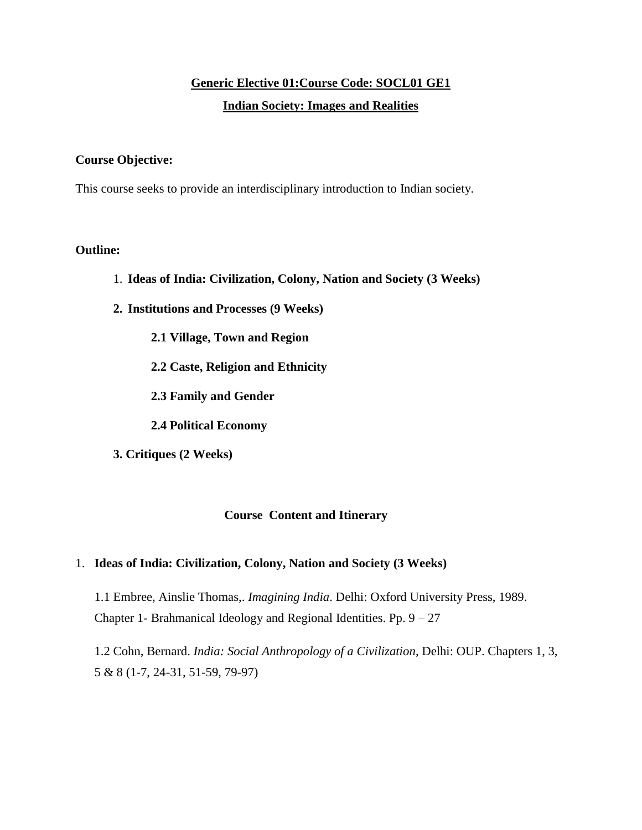# **Generic Elective 01:Course Code: SOCL01 GE1 Indian Society: Images and Realities**

## **Course Objective:**

This course seeks to provide an interdisciplinary introduction to Indian society.

## **Outline:**

- 1. **Ideas of India: Civilization, Colony, Nation and Society (3 Weeks)**
- **2. Institutions and Processes (9 Weeks)**
	- **2.1 Village, Town and Region**
	- **2.2 Caste, Religion and Ethnicity**
	- **2.3 Family and Gender**
	- **2.4 Political Economy**
- **3. Critiques (2 Weeks)**

## **Course Content and Itinerary**

#### 1. **Ideas of India: Civilization, Colony, Nation and Society (3 Weeks)**

1.1 Embree, Ainslie Thomas,. *Imagining India*. Delhi: Oxford University Press, 1989. Chapter 1- Brahmanical Ideology and Regional Identities. Pp.  $9 - 27$ 

1.2 Cohn, Bernard. *India: Social Anthropology of a Civilization*, Delhi: OUP. Chapters 1, 3, 5 & 8 (1-7, 24-31, 51-59, 79-97)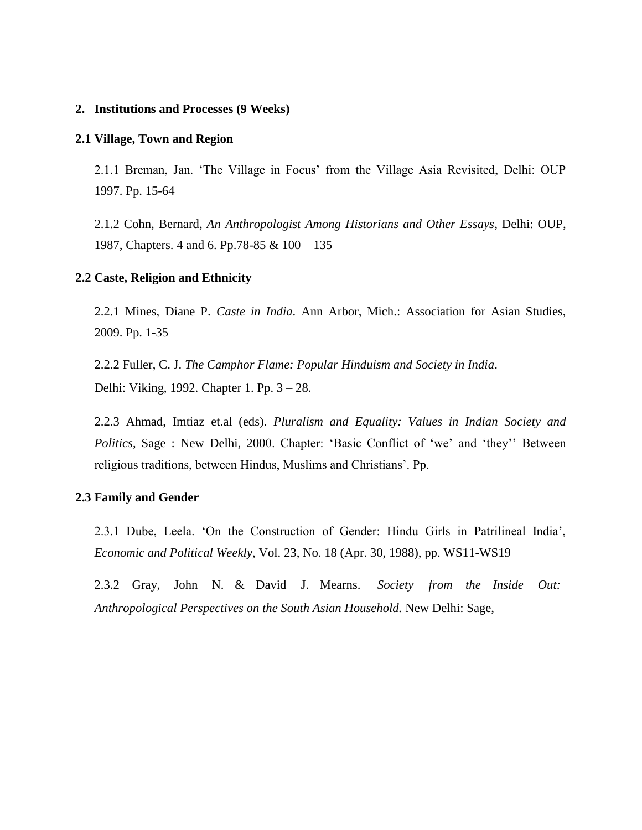#### **2. Institutions and Processes (9 Weeks)**

#### **2.1 Village, Town and Region**

2.1.1 Breman, Jan. 'The Village in Focus' from the Village Asia Revisited, Delhi: OUP 1997. Pp. 15-64

2.1.2 Cohn, Bernard, *An Anthropologist Among Historians and Other Essays*, Delhi: OUP, 1987, Chapters. 4 and 6. Pp.78-85 & 100 – 135

#### **2.2 Caste, Religion and Ethnicity**

2.2.1 Mines, Diane P. *Caste in India*. Ann Arbor, Mich.: Association for Asian Studies, 2009. Pp. 1-35

2.2.2 Fuller, C. J. *The Camphor Flame: Popular Hinduism and Society in India*. Delhi: Viking, 1992. Chapter 1. Pp. 3 – 28.

2.2.3 Ahmad, Imtiaz et.al (eds). *Pluralism and Equality: Values in Indian Society and Politics*, Sage : New Delhi, 2000. Chapter: 'Basic Conflict of 'we' and 'they'' Between religious traditions, between Hindus, Muslims and Christians'. Pp.

#### **2.3 Family and Gender**

2.3.1 Dube, Leela. 'On the Construction of Gender: Hindu Girls in Patrilineal India', *Economic and Political Weekly*, Vol. 23, No. 18 (Apr. 30, 1988), pp. WS11-WS19

2.3.2 Gray, John N. & David J. Mearns. *Society from the Inside Out: Anthropological Perspectives on the South Asian Household.* New Delhi: Sage,